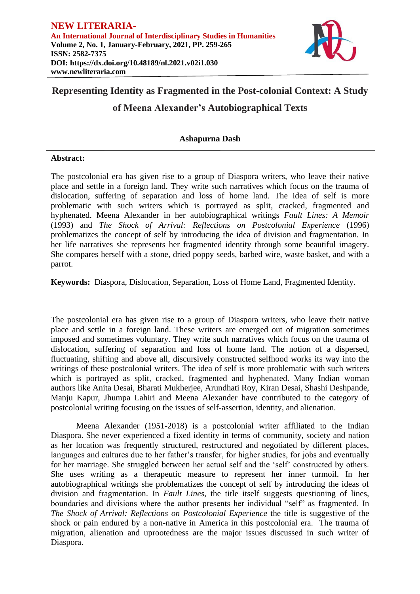

# **Representing Identity as Fragmented in the Post-colonial Context: A Study**

# **of Meena Alexander's Autobiographical Texts**

## **Ashapurna Dash**

### **Abstract:**

The postcolonial era has given rise to a group of Diaspora writers, who leave their native place and settle in a foreign land. They write such narratives which focus on the trauma of dislocation, suffering of separation and loss of home land. The idea of self is more problematic with such writers which is portrayed as split, cracked, fragmented and hyphenated. Meena Alexander in her autobiographical writings *Fault Lines: A Memoir*  (1993) and *The Shock of Arrival: Reflections on Postcolonial Experience* (1996) problematizes the concept of self by introducing the idea of division and fragmentation. In her life narratives she represents her fragmented identity through some beautiful imagery. She compares herself with a stone, dried poppy seeds, barbed wire, waste basket, and with a parrot.

**Keywords:** Diaspora, Dislocation, Separation, Loss of Home Land, Fragmented Identity.

The postcolonial era has given rise to a group of Diaspora writers, who leave their native place and settle in a foreign land. These writers are emerged out of migration sometimes imposed and sometimes voluntary. They write such narratives which focus on the trauma of dislocation, suffering of separation and loss of home land. The notion of a dispersed, fluctuating, shifting and above all, discursively constructed selfhood works its way into the writings of these postcolonial writers. The idea of self is more problematic with such writers which is portrayed as split, cracked, fragmented and hyphenated. Many Indian woman authors like [Anita Desai,](http://en.wikipedia.org/wiki/Anita_Desai) [Bharati Mukherjee,](http://en.wikipedia.org/wiki/Bharati_Mukherjee) [Arundhati Roy,](http://en.wikipedia.org/wiki/Arundhati_Roy) [Kiran Desai,](http://en.wikipedia.org/wiki/Kiran_Desai) Shashi Deshpande, Manju Kapur, Jhumpa Lahiri and Meena Alexander have contributed to the category of postcolonial writing focusing on the issues of self-assertion, identity, and alienation.

Meena Alexander (1951-2018) is a postcolonial writer affiliated to the Indian Diaspora. She never experienced a fixed identity in terms of community, society and nation as her location was frequently structured, restructured and negotiated by different places, languages and cultures due to her father's transfer, for higher studies, for jobs and eventually for her marriage. She struggled between her actual self and the 'self' constructed by others. She uses writing as a therapeutic measure to represent her inner turmoil. In her autobiographical writings she problematizes the concept of self by introducing the ideas of division and fragmentation. In *Fault Lines*, the title itself suggests questioning of lines, boundaries and divisions where the author presents her individual "self" as fragmented. In *The Shock of Arrival: Reflections on Postcolonial Experience* the title is suggestive of the shock or pain endured by a non-native in America in this postcolonial era. The trauma of migration, alienation and uprootedness are the major issues discussed in such writer of Diaspora.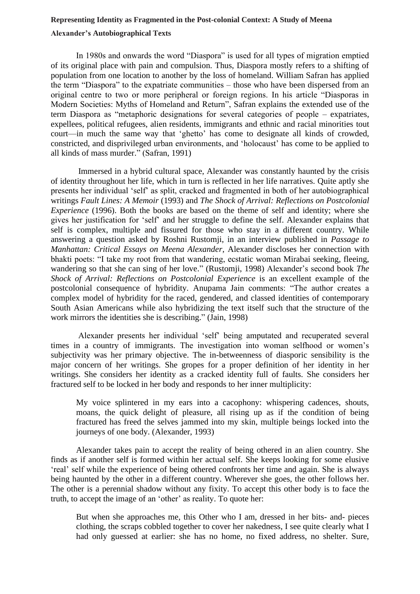#### **Representing Identity as Fragmented in the Post-colonial Context: A Study of Meena**

#### **Alexander's Autobiographical Texts**

In 1980s and onwards the word "Diaspora" is used for all types of migration emptied of its original place with pain and compulsion. Thus, Diaspora mostly refers to a shifting of population from one location to another by the loss of homeland. William Safran has applied the term "Diaspora" to the expatriate communities – those who have been dispersed from an original centre to two or more peripheral or foreign regions. In his article "Diasporas in Modern Societies: Myths of Homeland and Return", Safran explains the extended use of the term Diaspora as "metaphoric designations for several categories of people – expatriates, expellees, political refugees, alien residents, immigrants and ethnic and racial minorities tout court—in much the same way that 'ghetto' has come to designate all kinds of crowded, constricted, and disprivileged urban environments, and 'holocaust' has come to be applied to all kinds of mass murder." (Safran, 1991)

Immersed in a hybrid cultural space, Alexander was constantly haunted by the crisis of identity throughout her life, which in turn is reflected in her life narratives. Quite aptly she presents her individual 'self' as split, cracked and fragmented in both of her autobiographical writings *Fault Lines: A Memoir* (1993) and *The Shock of Arrival: Reflections on Postcolonial Experience* (1996). Both the books are based on the theme of self and identity; where she gives her justification for 'self' and her struggle to define the self. Alexander explains that self is complex, multiple and fissured for those who stay in a different country. While answering a question asked by Roshni Rustomji, in an interview published in *Passage to Manhattan: Critical Essays on Meena Alexander*, Alexander discloses her connection with bhakti poets: "I take my root from that wandering, ecstatic woman Mirabai seeking, fleeing, wandering so that she can sing of her love." (Rustomji, 1998) Alexander's second book *The Shock of Arrival: Reflections on Postcolonial Experience* is an excellent example of the postcolonial consequence of hybridity. Anupama Jain comments: "The author creates a complex model of hybridity for the raced, gendered, and classed identities of contemporary South Asian Americans while also hybridizing the text itself such that the structure of the work mirrors the identities she is describing." (Jain, 1998)

Alexander presents her individual 'self' being amputated and recuperated several times in a country of immigrants. The investigation into woman selfhood or women's subjectivity was her primary objective. The in-betweenness of diasporic sensibility is the major concern of her writings. She gropes for a proper definition of her identity in her writings. She considers her identity as a cracked identity full of faults. She considers her fractured self to be locked in her body and responds to her inner multiplicity:

My voice splintered in my ears into a cacophony: whispering cadences, shouts, moans, the quick delight of pleasure, all rising up as if the condition of being fractured has freed the selves jammed into my skin, multiple beings locked into the journeys of one body. (Alexander, 1993)

Alexander takes pain to accept the reality of being othered in an alien country. She finds as if another self is formed within her actual self. She keeps looking for some elusive 'real' self while the experience of being othered confronts her time and again. She is always being haunted by the other in a different country. Wherever she goes, the other follows her. The other is a perennial shadow without any fixity. To accept this other body is to face the truth, to accept the image of an 'other' as reality. To quote her:

But when she approaches me, this Other who I am, dressed in her bits- and- pieces clothing, the scraps cobbled together to cover her nakedness, I see quite clearly what I had only guessed at earlier: she has no home, no fixed address, no shelter. Sure,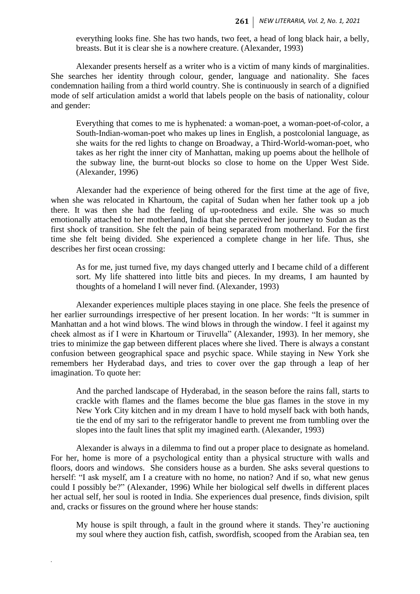everything looks fine. She has two hands, two feet, a head of long black hair, a belly, breasts. But it is clear she is a nowhere creature. (Alexander, 1993)

Alexander presents herself as a writer who is a victim of many kinds of marginalities. She searches her identity through colour, gender, language and nationality. She faces condemnation hailing from a third world country. She is continuously in search of a dignified mode of self articulation amidst a world that labels people on the basis of nationality, colour and gender:

Everything that comes to me is hyphenated: a woman-poet, a woman-poet-of-color, a South-Indian-woman-poet who makes up lines in English, a postcolonial language, as she waits for the red lights to change on Broadway, a Third-World-woman-poet, who takes as her right the inner city of Manhattan, making up poems about the hellhole of the subway line, the burnt-out blocks so close to home on the Upper West Side. (Alexander, 1996)

Alexander had the experience of being othered for the first time at the age of five, when she was relocated in Khartoum, the capital of Sudan when her father took up a job there. It was then she had the feeling of up-rootedness and exile. She was so much emotionally attached to her motherland, India that she perceived her journey to Sudan as the first shock of transition. She felt the pain of being separated from motherland. For the first time she felt being divided. She experienced a complete change in her life. Thus, she describes her first ocean crossing:

As for me, just turned five, my days changed utterly and I became child of a different sort. My life shattered into little bits and pieces. In my dreams, I am haunted by thoughts of a homeland I will never find. (Alexander, 1993)

Alexander experiences multiple places staying in one place. She feels the presence of her earlier surroundings irrespective of her present location. In her words: "It is summer in Manhattan and a hot wind blows. The wind blows in through the window. I feel it against my cheek almost as if I were in Khartoum or Tiruvella" (Alexander, 1993). In her memory, she tries to minimize the gap between different places where she lived. There is always a constant confusion between geographical space and psychic space. While staying in New York she remembers her Hyderabad days, and tries to cover over the gap through a leap of her imagination. To quote her:

And the parched landscape of Hyderabad, in the season before the rains fall, starts to crackle with flames and the flames become the blue gas flames in the stove in my New York City kitchen and in my dream I have to hold myself back with both hands, tie the end of my sari to the refrigerator handle to prevent me from tumbling over the slopes into the fault lines that split my imagined earth. (Alexander, 1993)

Alexander is always in a dilemma to find out a proper place to designate as homeland. For her, home is more of a psychological entity than a physical structure with walls and floors, doors and windows. She considers house as a burden. She asks several questions to herself: "I ask myself, am I a creature with no home, no nation? And if so, what new genus could I possibly be?" (Alexander, 1996) While her biological self dwells in different places her actual self, her soul is rooted in India. She experiences dual presence, finds division, spilt and, cracks or fissures on the ground where her house stands:

*.*

My house is spilt through, a fault in the ground where it stands. They're auctioning my soul where they auction fish, catfish, swordfish, scooped from the Arabian sea, ten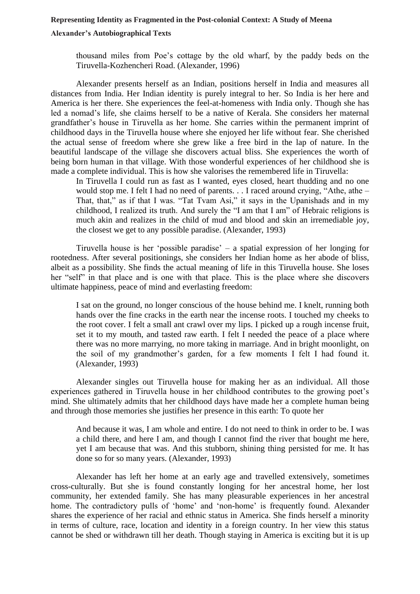#### **Representing Identity as Fragmented in the Post-colonial Context: A Study of Meena**

#### **Alexander's Autobiographical Texts**

thousand miles from Poe's cottage by the old wharf, by the paddy beds on the Tiruvella-Kozhencheri Road. (Alexander, 1996)

Alexander presents herself as an Indian, positions herself in India and measures all distances from India. Her Indian identity is purely integral to her. So India is her here and America is her there. She experiences the feel-at-homeness with India only. Though she has led a nomad's life, she claims herself to be a native of Kerala. She considers her maternal grandfather's house in Tiruvella as her home. She carries within the permanent imprint of childhood days in the Tiruvella house where she enjoyed her life without fear. She cherished the actual sense of freedom where she grew like a free bird in the lap of nature. In the beautiful landscape of the village she discovers actual bliss. She experiences the worth of being born human in that village. With those wonderful experiences of her childhood she is made a complete individual. This is how she valorises the remembered life in Tiruvella:

In Tiruvella I could run as fast as I wanted, eyes closed, heart thudding and no one would stop me. I felt I had no need of parents. . . I raced around crying, "Athe, athe – That, that," as if that I was. "Tat Tvam Asi," it says in the Upanishads and in my childhood, I realized its truth. And surely the "I am that I am" of Hebraic religions is much akin and realizes in the child of mud and blood and skin an irremediable joy, the closest we get to any possible paradise. (Alexander, 1993)

Tiruvella house is her 'possible paradise' – a spatial expression of her longing for rootedness. After several positionings, she considers her Indian home as her abode of bliss, albeit as a possibility. She finds the actual meaning of life in this Tiruvella house. She loses her "self" in that place and is one with that place. This is the place where she discovers ultimate happiness, peace of mind and everlasting freedom:

I sat on the ground, no longer conscious of the house behind me. I knelt, running both hands over the fine cracks in the earth near the incense roots. I touched my cheeks to the root cover. I felt a small ant crawl over my lips. I picked up a rough incense fruit, set it to my mouth, and tasted raw earth. I felt I needed the peace of a place where there was no more marrying, no more taking in marriage. And in bright moonlight, on the soil of my grandmother's garden, for a few moments I felt I had found it. (Alexander, 1993)

Alexander singles out Tiruvella house for making her as an individual. All those experiences gathered in Tiruvella house in her childhood contributes to the growing poet's mind. She ultimately admits that her childhood days have made her a complete human being and through those memories she justifies her presence in this earth: To quote her

And because it was, I am whole and entire. I do not need to think in order to be. I was a child there, and here I am, and though I cannot find the river that bought me here, yet I am because that was. And this stubborn, shining thing persisted for me. It has done so for so many years. (Alexander, 1993)

Alexander has left her home at an early age and travelled extensively, sometimes cross-culturally. But she is found constantly longing for her ancestral home, her lost community, her extended family. She has many pleasurable experiences in her ancestral home. The contradictory pulls of 'home' and 'non-home' is frequently found. Alexander shares the experience of her racial and ethnic status in America. She finds herself a minority in terms of culture, race, location and identity in a foreign country. In her view this status cannot be shed or withdrawn till her death. Though staying in America is exciting but it is up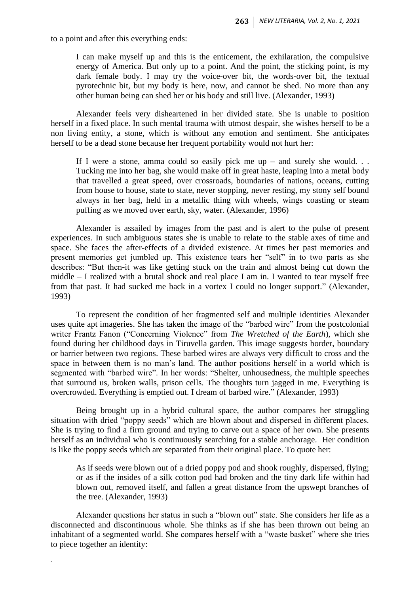to a point and after this everything ends:

I can make myself up and this is the enticement, the exhilaration, the compulsive energy of America. But only up to a point. And the point, the sticking point, is my dark female body. I may try the voice-over bit, the words-over bit, the textual pyrotechnic bit, but my body is here, now, and cannot be shed. No more than any other human being can shed her or his body and still live. (Alexander, 1993)

Alexander feels very disheartened in her divided state. She is unable to position herself in a fixed place. In such mental trauma with utmost despair, she wishes herself to be a non living entity, a stone, which is without any emotion and sentiment. She anticipates herself to be a dead stone because her frequent portability would not hurt her:

If I were a stone, amma could so easily pick me up – and surely she would.  $\ldots$ Tucking me into her bag, she would make off in great haste, leaping into a metal body that travelled a great speed, over crossroads, boundaries of nations, oceans, cutting from house to house, state to state, never stopping, never resting, my stony self bound always in her bag, held in a metallic thing with wheels, wings coasting or steam puffing as we moved over earth, sky, water. (Alexander, 1996)

Alexander is assailed by images from the past and is alert to the pulse of present experiences. In such ambiguous states she is unable to relate to the stable axes of time and space. She faces the after-effects of a divided existence. At times her past memories and present memories get jumbled up. This existence tears her "self" in to two parts as she describes: "But then-it was like getting stuck on the train and almost being cut down the middle – I realized with a brutal shock and real place I am in. I wanted to tear myself free from that past. It had sucked me back in a vortex I could no longer support." (Alexander, 1993)

To represent the condition of her fragmented self and multiple identities Alexander uses quite apt imageries. She has taken the image of the "barbed wire" from the postcolonial writer Frantz Fanon ("Concerning Violence" from *The Wretched of the Earth*), which she found during her childhood days in Tiruvella garden. This image suggests border, boundary or barrier between two regions. These barbed wires are always very difficult to cross and the space in between them is no man's land. The author positions herself in a world which is segmented with "barbed wire". In her words: "Shelter, unhousedness, the multiple speeches that surround us, broken walls, prison cells. The thoughts turn jagged in me. Everything is overcrowded. Everything is emptied out. I dream of barbed wire." (Alexander, 1993)

Being brought up in a hybrid cultural space, the author compares her struggling situation with dried "poppy seeds" which are blown about and dispersed in different places. She is trying to find a firm ground and trying to carve out a space of her own. She presents herself as an individual who is continuously searching for a stable anchorage. Her condition is like the poppy seeds which are separated from their original place. To quote her:

As if seeds were blown out of a dried poppy pod and shook roughly, dispersed, flying; or as if the insides of a silk cotton pod had broken and the tiny dark life within had blown out, removed itself, and fallen a great distance from the upswept branches of the tree. (Alexander, 1993)

Alexander questions her status in such a "blown out" state. She considers her life as a disconnected and discontinuous whole. She thinks as if she has been thrown out being an inhabitant of a segmented world. She compares herself with a "waste basket" where she tries to piece together an identity:

*.*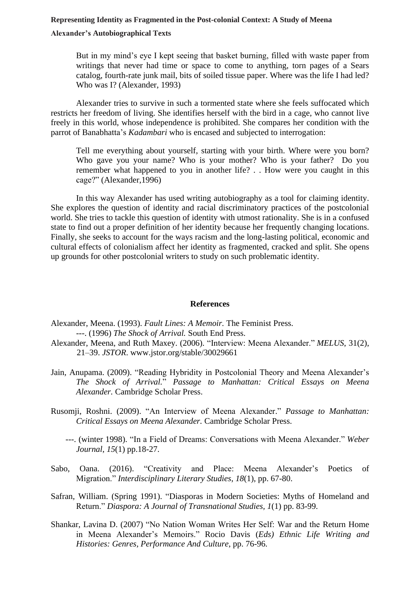#### **Representing Identity as Fragmented in the Post-colonial Context: A Study of Meena**

#### **Alexander's Autobiographical Texts**

But in my mind's eye I kept seeing that basket burning, filled with waste paper from writings that never had time or space to come to anything, torn pages of a Sears catalog, fourth-rate junk mail, bits of soiled tissue paper. Where was the life I had led? Who was I? (Alexander, 1993)

Alexander tries to survive in such a tormented state where she feels suffocated which restricts her freedom of living. She identifies herself with the bird in a cage, who cannot live freely in this world, whose independence is prohibited. She compares her condition with the parrot of Banabhatta's *Kadambari* who is encased and subjected to interrogation:

Tell me everything about yourself, starting with your birth. Where were you born? Who gave you your name? Who is your mother? Who is your father? Do you remember what happened to you in another life? . . How were you caught in this cage?" (Alexander,1996)

In this way Alexander has used writing autobiography as a tool for claiming identity. She explores the question of identity and racial discriminatory practices of the postcolonial world. She tries to tackle this question of identity with utmost rationality. She is in a confused state to find out a proper definition of her identity because her frequently changing locations. Finally, she seeks to account for the ways racism and the long-lasting political, economic and cultural effects of colonialism affect her identity as fragmented, cracked and split. She opens up grounds for other postcolonial writers to study on such problematic identity.

#### **References**

- Alexander, Meena. (1993). *Fault Lines: A Memoir.* The Feminist Press. ---. (1996) *The Shock of Arrival.* South End Press.
- Alexander, Meena, and Ruth Maxey. (2006). "Interview: Meena Alexander." *MELUS*, 31(2), 21–39. *JSTOR*. [www.jstor.org/stable/30029661](http://www.jstor.org/stable/30029661)
- Jain, Anupama. (2009). "Reading Hybridity in Postcolonial Theory and Meena Alexander's *The Shock of Arrival.*" *Passage to Manhattan: Critical Essays on Meena Alexander.* Cambridge Scholar Press.
- Rusomji, Roshni. (2009). "An Interview of Meena Alexander." *Passage to Manhattan: Critical Essays on Meena Alexander.* Cambridge Scholar Press.
	- ---. (winter 1998). ["In a Field of Dreams: Conversations with Meena Alexander."](https://weberstudies.weber.edu/archive/archive%20B%20Vol.%2011-16.1/Vol.%2015.1/15.1Alexanderinterview.htm) *Weber [Journal](https://weberstudies.weber.edu/archive/archive%20B%20Vol.%2011-16.1/Vol.%2015.1/15.1Alexanderinterview.htm)*, *15*(1) pp.18-27.
- Sabo, Oana. (2016). "Creativity and Place: Meena Alexander's Poetics of Migration." *Interdisciplinary Literary Studies*, *18*(1), pp. 67-80.
- Safran, William. (Spring 1991). "Diasporas in Modern Societies: Myths of Homeland and Return." *Diaspora: A Journal of Transnational Studies, 1*(1) pp. 83-99.
- Shankar, Lavina D. (2007) "No Nation Woman Writes Her Self: War and the Return Home in Meena Alexander's Memoirs." Rocio Davis (*Eds) Ethnic Life Writing and Histories: Genres, Performance And Culture*, pp. 76-96.